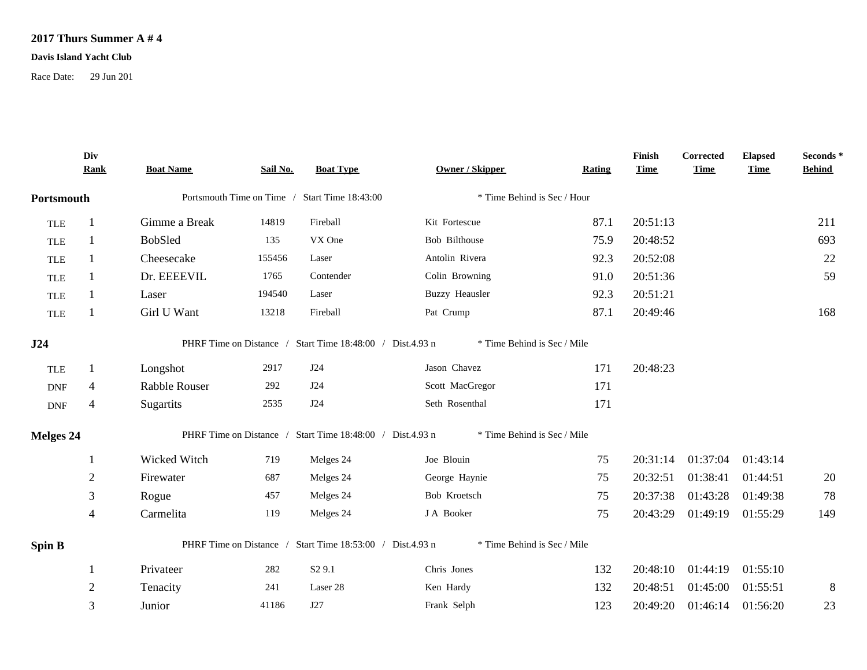## **2017 Thurs Summer A # 4**

## **Davis Island Yacht Club**

Race Date: 29 Jun 201

|                             | Div<br><b>Rank</b> | <b>Boat Name</b>                              | Sail No. | <b>Boat Type</b>                                          | Owner / Skipper             | <b>Rating</b> | Finish<br><b>Time</b> | <b>Corrected</b><br><b>Time</b> | <b>Elapsed</b><br><b>Time</b> | Seconds *<br><b>Behind</b> |
|-----------------------------|--------------------|-----------------------------------------------|----------|-----------------------------------------------------------|-----------------------------|---------------|-----------------------|---------------------------------|-------------------------------|----------------------------|
| Portsmouth                  |                    | Portsmouth Time on Time / Start Time 18:43:00 |          | * Time Behind is Sec / Hour                               |                             |               |                       |                                 |                               |                            |
| <b>TLE</b>                  |                    | Gimme a Break                                 | 14819    | Fireball                                                  | Kit Fortescue               | 87.1          | 20:51:13              |                                 |                               | 211                        |
| <b>TLE</b>                  | 1                  | BobSled                                       | 135      | VX One                                                    | <b>Bob Bilthouse</b>        | 75.9          | 20:48:52              |                                 |                               | 693                        |
| <b>TLE</b>                  |                    | Cheesecake                                    | 155456   | Laser                                                     | Antolin Rivera              | 92.3          | 20:52:08              |                                 |                               | 22                         |
| <b>TLE</b>                  |                    | Dr. EEEEVIL                                   | 1765     | Contender                                                 | Colin Browning              | 91.0          | 20:51:36              |                                 |                               | 59                         |
| <b>TLE</b>                  |                    | Laser                                         | 194540   | Laser                                                     | <b>Buzzy Heausler</b>       | 92.3          | 20:51:21              |                                 |                               |                            |
| <b>TLE</b>                  |                    | Girl U Want                                   | 13218    | Fireball                                                  | Pat Crump                   | 87.1          | 20:49:46              |                                 |                               | 168                        |
| J24                         |                    |                                               |          | PHRF Time on Distance / Start Time 18:48:00 / Dist.4.93 n | * Time Behind is Sec / Mile |               |                       |                                 |                               |                            |
| <b>TLE</b>                  | 1                  | Longshot                                      | 2917     | J24                                                       | Jason Chavez                | 171           | 20:48:23              |                                 |                               |                            |
| $\ensuremath{\mathsf{DNF}}$ | $\overline{4}$     | Rabble Rouser                                 | 292      | J24                                                       | Scott MacGregor             | 171           |                       |                                 |                               |                            |
| <b>DNF</b>                  | $\overline{4}$     | Sugartits                                     | 2535     | J24                                                       | Seth Rosenthal              | 171           |                       |                                 |                               |                            |
| <b>Melges 24</b>            |                    |                                               |          | PHRF Time on Distance / Start Time 18:48:00 / Dist.4.93 n | * Time Behind is Sec / Mile |               |                       |                                 |                               |                            |
|                             | 1                  | Wicked Witch                                  | 719      | Melges 24                                                 | Joe Blouin                  | 75            | 20:31:14              | 01:37:04                        | 01:43:14                      |                            |
|                             | $\sqrt{2}$         | Firewater                                     | 687      | Melges 24                                                 | George Haynie               | 75            | 20:32:51              | 01:38:41                        | 01:44:51                      | 20                         |
|                             | $\mathfrak{Z}$     | Rogue                                         | 457      | Melges 24                                                 | Bob Kroetsch                | 75            | 20:37:38              | 01:43:28                        | 01:49:38                      | 78                         |
|                             | $\overline{4}$     | Carmelita                                     | 119      | Melges 24                                                 | J A Booker                  | 75            | 20:43:29              | 01:49:19                        | 01:55:29                      | 149                        |
| Spin B                      |                    |                                               |          | PHRF Time on Distance / Start Time 18:53:00 / Dist.4.93 n | * Time Behind is Sec / Mile |               |                       |                                 |                               |                            |
|                             | 1                  | Privateer                                     | 282      | S <sub>2</sub> 9.1                                        | Chris Jones                 | 132           | 20:48:10              | 01:44:19                        | 01:55:10                      |                            |
|                             | $\overline{2}$     | Tenacity                                      | 241      | Laser 28                                                  | Ken Hardy                   | 132           | 20:48:51              | 01:45:00                        | 01:55:51                      | $\,8\,$                    |
|                             | 3                  | Junior                                        | 41186    | J27                                                       | Frank Selph                 | 123           | 20:49:20              | 01:46:14                        | 01:56:20                      | 23                         |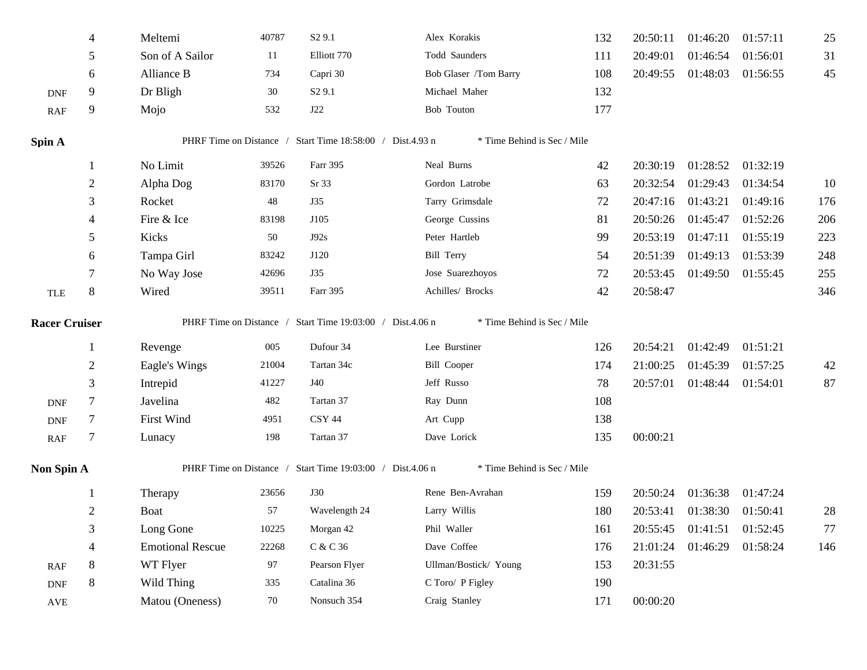|                             | 4              | Meltemi                 | 40787 | S <sub>2</sub> 9.1                                        | Alex Korakis                | 132 | 20:50:11 | 01:46:20          | 01:57:11 | 25  |
|-----------------------------|----------------|-------------------------|-------|-----------------------------------------------------------|-----------------------------|-----|----------|-------------------|----------|-----|
|                             | 5              | Son of A Sailor         | 11    | Elliott 770                                               | Todd Saunders               | 111 | 20:49:01 | 01:46:54          | 01:56:01 | 31  |
|                             | 6              | Alliance B              | 734   | Capri 30                                                  | Bob Glaser /Tom Barry       | 108 | 20:49:55 | 01:48:03          | 01:56:55 | 45  |
| <b>DNF</b>                  | 9              | Dr Bligh                | 30    | S <sub>2</sub> 9.1                                        | Michael Maher               | 132 |          |                   |          |     |
| RAF                         | 9              | Mojo                    | 532   | J22                                                       | Bob Touton                  | 177 |          |                   |          |     |
| Spin A                      |                |                         |       | PHRF Time on Distance / Start Time 18:58:00 / Dist.4.93 n | * Time Behind is Sec / Mile |     |          |                   |          |     |
|                             | 1              | No Limit                | 39526 | Farr 395                                                  | Neal Burns                  | 42  | 20:30:19 | 01:28:52 01:32:19 |          |     |
|                             | $\overline{c}$ | Alpha Dog               | 83170 | Sr 33                                                     | Gordon Latrobe              | 63  | 20:32:54 | 01:29:43          | 01:34:54 | 10  |
|                             | 3              | Rocket                  | 48    | <b>J35</b>                                                | Tarry Grimsdale             | 72  | 20:47:16 | 01:43:21          | 01:49:16 | 176 |
|                             | 4              | Fire & Ice              | 83198 | J105                                                      | George Cussins              | 81  | 20:50:26 | 01:45:47          | 01:52:26 | 206 |
|                             | 5              | Kicks                   | 50    | J92s                                                      | Peter Hartleb               | 99  | 20:53:19 | 01:47:11          | 01:55:19 | 223 |
|                             | 6              | Tampa Girl              | 83242 | J120                                                      | <b>Bill Terry</b>           | 54  | 20:51:39 | 01:49:13          | 01:53:39 | 248 |
|                             |                | No Way Jose             | 42696 | <b>J35</b>                                                | Jose Suarezhoyos            | 72  | 20:53:45 | 01:49:50          | 01:55:45 | 255 |
| <b>TLE</b>                  | 8              | Wired                   | 39511 | Farr 395                                                  | Achilles/ Brocks            | 42  | 20:58:47 |                   |          | 346 |
| <b>Racer Cruiser</b>        |                |                         |       | PHRF Time on Distance / Start Time 19:03:00 / Dist.4.06 n | * Time Behind is Sec / Mile |     |          |                   |          |     |
|                             | 1              | Revenge                 | 005   | Dufour 34                                                 | Lee Burstiner               | 126 | 20:54:21 | 01:42:49          | 01:51:21 |     |
|                             | 2              | Eagle's Wings           | 21004 | Tartan 34c                                                | <b>Bill Cooper</b>          | 174 | 21:00:25 | 01:45:39          | 01:57:25 | 42  |
|                             | 3              | Intrepid                | 41227 | J40                                                       | Jeff Russo                  | 78  | 20:57:01 | 01:48:44 01:54:01 |          | 87  |
| <b>DNF</b>                  | $\tau$         | Javelina                | 482   | Tartan 37                                                 | Ray Dunn                    | 108 |          |                   |          |     |
| <b>DNF</b>                  | 7              | First Wind              | 4951  | <b>CSY 44</b>                                             | Art Cupp                    | 138 |          |                   |          |     |
| RAF                         | 7              | Lunacy                  | 198   | Tartan 37                                                 | Dave Lorick                 | 135 | 00:00:21 |                   |          |     |
| Non Spin A                  |                |                         |       | PHRF Time on Distance / Start Time 19:03:00 / Dist.4.06 n | * Time Behind is Sec / Mile |     |          |                   |          |     |
|                             |                | Therapy                 | 23656 | <b>J30</b>                                                | Rene Ben-Avrahan            | 159 | 20:50:24 | 01:36:38 01:47:24 |          |     |
|                             | $\overline{c}$ | <b>Boat</b>             | 57    | Wavelength 24                                             | Larry Willis                | 180 | 20:53:41 | 01:38:30 01:50:41 |          | 28  |
|                             | 3              | Long Gone               | 10225 | Morgan 42                                                 | Phil Waller                 | 161 | 20:55:45 | 01:41:51          | 01:52:45 | 77  |
|                             | 4              | <b>Emotional Rescue</b> | 22268 | C & C 36                                                  | Dave Coffee                 | 176 | 21:01:24 | 01:46:29          | 01:58:24 | 146 |
| RAF                         | 8              | WT Flyer                | 97    | Pearson Flyer                                             | Ullman/Bostick/ Young       | 153 | 20:31:55 |                   |          |     |
| $\ensuremath{\mathsf{DNF}}$ | 8              | Wild Thing              | 335   | Catalina 36                                               | C Toro/ P Figley            | 190 |          |                   |          |     |
| AVE                         |                | Matou (Oneness)         | 70    | Nonsuch 354                                               | Craig Stanley               | 171 | 00:00:20 |                   |          |     |